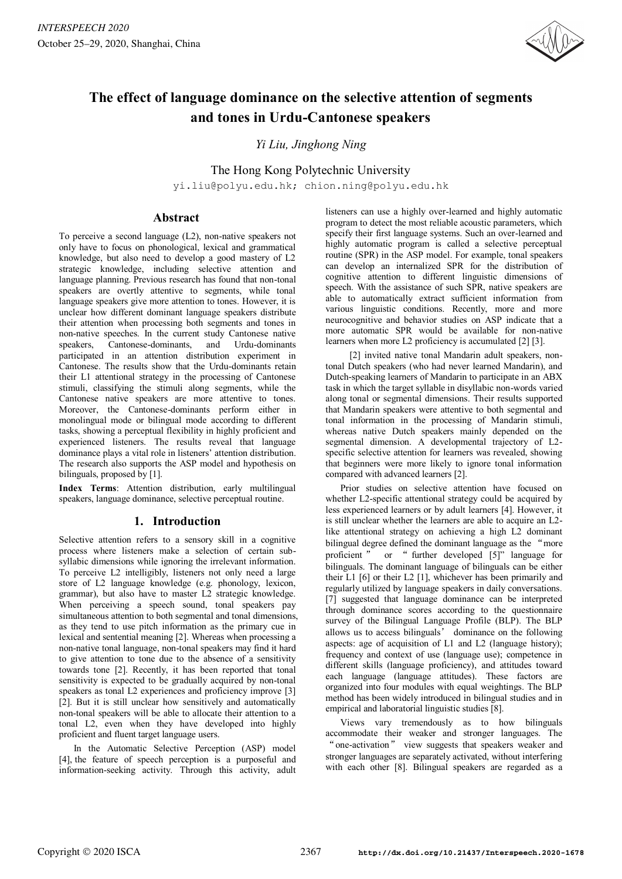

# **The effect of language dominance on the selective attention of segments and tones in Urdu-Cantonese speakers**

*Yi Liu, Jinghong Ning* 

The Hong Kong Polytechnic University yi.liu@polyu.edu.hk; chion.ning@polyu.edu.hk

# **Abstract**

To perceive a second language (L2), non-native speakers not only have to focus on phonological, lexical and grammatical knowledge, but also need to develop a good mastery of L2 strategic knowledge, including selective attention and language planning. Previous research has found that non-tonal speakers are overtly attentive to segments, while tonal language speakers give more attention to tones. However, it is unclear how different dominant language speakers distribute their attention when processing both segments and tones in non-native speeches. In the current study Cantonese native speakers, Cantonese-dominants, and Urdu-dominants participated in an attention distribution experiment in Cantonese. The results show that the Urdu-dominants retain their L1 attentional strategy in the processing of Cantonese stimuli, classifying the stimuli along segments, while the Cantonese native speakers are more attentive to tones. Moreover, the Cantonese-dominants perform either in monolingual mode or bilingual mode according to different tasks, showing a perceptual flexibility in highly proficient and experienced listeners. The results reveal that language dominance plays a vital role in listeners' attention distribution. The research also supports the ASP model and hypothesis on bilinguals, proposed by [1].

**Index Terms**: Attention distribution, early multilingual speakers, language dominance, selective perceptual routine.

# **1. Introduction**

Selective attention refers to a sensory skill in a cognitive process where listeners make a selection of certain subsyllabic dimensions while ignoring the irrelevant information. To perceive L2 intelligibly, listeners not only need a large store of L2 language knowledge (e.g. phonology, lexicon, grammar), but also have to master L2 strategic knowledge. When perceiving a speech sound, tonal speakers pay simultaneous attention to both segmental and tonal dimensions, as they tend to use pitch information as the primary cue in lexical and sentential meaning [2]. Whereas when processing a non-native tonal language, non-tonal speakers may find it hard to give attention to tone due to the absence of a sensitivity towards tone [2]. Recently, it has been reported that tonal sensitivity is expected to be gradually acquired by non-tonal speakers as tonal L2 experiences and proficiency improve [3] [2]. But it is still unclear how sensitively and automatically non-tonal speakers will be able to allocate their attention to a tonal L2, even when they have developed into highly proficient and fluent target language users.

In the Automatic Selective Perception (ASP) model [4], the feature of speech perception is a purposeful and information-seeking activity. Through this activity, adult listeners can use a highly over-learned and highly automatic program to detect the most reliable acoustic parameters, which specify their first language systems. Such an over-learned and highly automatic program is called a selective perceptual routine (SPR) in the ASP model. For example, tonal speakers can develop an internalized SPR for the distribution of cognitive attention to different linguistic dimensions of speech. With the assistance of such SPR, native speakers are able to automatically extract sufficient information from various linguistic conditions. Recently, more and more neurocognitive and behavior studies on ASP indicate that a more automatic SPR would be available for non-native learners when more L2 proficiency is accumulated [2] [3].

[2] invited native tonal Mandarin adult speakers, nontonal Dutch speakers (who had never learned Mandarin), and Dutch-speaking learners of Mandarin to participate in an ABX task in which the target syllable in disyllabic non-words varied along tonal or segmental dimensions. Their results supported that Mandarin speakers were attentive to both segmental and tonal information in the processing of Mandarin stimuli, whereas native Dutch speakers mainly depended on the segmental dimension. A developmental trajectory of L2 specific selective attention for learners was revealed, showing that beginners were more likely to ignore tonal information compared with advanced learners [2].

Prior studies on selective attention have focused on whether L2-specific attentional strategy could be acquired by less experienced learners or by adult learners [4]. However, it is still unclear whether the learners are able to acquire an L2 like attentional strategy on achieving a high L2 dominant bilingual degree defined the dominant language as the "more proficient  $\overline{a}$  or " further developed [5]" language for bilinguals. The dominant language of bilinguals can be either their L1 [6] or their L2 [1], whichever has been primarily and regularly utilized by language speakers in daily conversations. [7] suggested that language dominance can be interpreted through dominance scores according to the questionnaire survey of the Bilingual Language Profile (BLP). The BLP allows us to access bilinguals' dominance on the following aspects: age of acquisition of L1 and L2 (language history); frequency and context of use (language use); competence in different skills (language proficiency), and attitudes toward each language (language attitudes). These factors are organized into four modules with equal weightings. The BLP method has been widely introduced in bilingual studies and in empirical and laboratorial linguistic studies [8].

Views vary tremendously as to how bilinguals accommodate their weaker and stronger languages. The " one-activation" view suggests that speakers weaker and stronger languages are separately activated, without interfering with each other [8]. Bilingual speakers are regarded as a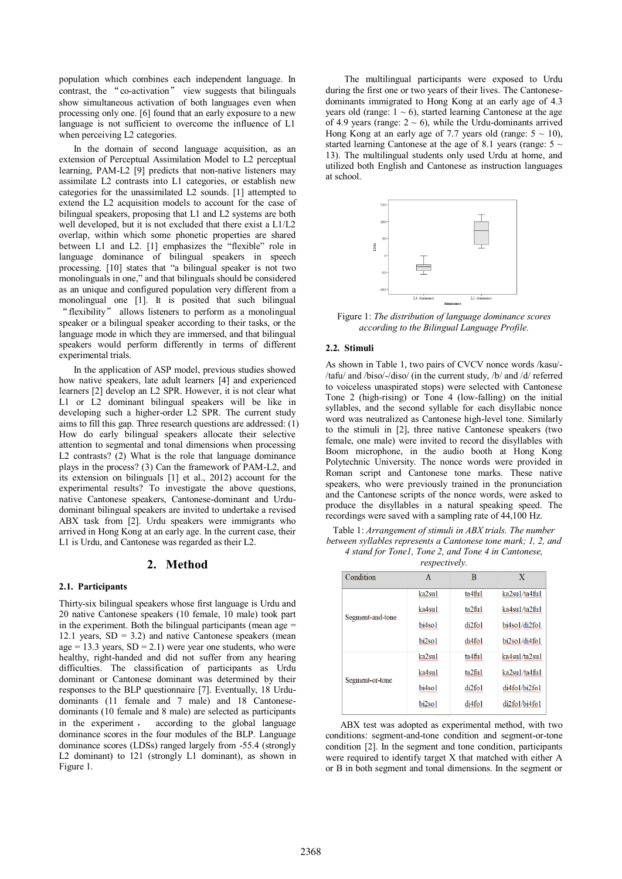population which combines each independent language. In contrast, the "co-activation" view suggests that bilinguals show simultaneous activation of both languages even when processing only one. [6] found that an early exposure to a new language is not sufficient to overcome the influence of L1 when perceiving L<sub>2</sub> categories.

In the domain of second language acquisition, as an extension of Perceptual Assimilation Model to L2 perceptual learning, PAM-L2 [9] predicts that non-native listeners may assimilate L2 contrasts into L1 categories, or establish new categories for the unassimilated L2 sounds. [1] attempted to extend the L2 acquisition models to account for the case of bilingual speakers, proposing that L1 and L2 systems are both well developed, but it is not excluded that there exist a L1/L2 overlap, within which some phonetic properties are shared between L1 and L2. [1] emphasizes the "flexible" role in language dominance of bilingual speakers in speech processing. [10] states that "a bilingual speaker is not two monolinguals in one," and that bilinguals should be considered as an unique and configured population very different from a monolingual one [1]. It is posited that such bilingual "flexibility" allows listeners to perform as a monolingual speaker or a bilingual speaker according to their tasks, or the language mode in which they are immersed, and that bilingual speakers would perform differently in terms of different experimental trials.

In the application of ASP model, previous studies showed how native speakers, late adult learners [4] and experienced learners [2] develop an L2 SPR. However, it is not clear what L1 or L2 dominant bilingual speakers will be like in developing such a higher-order L2 SPR. The current study aims to fill this gap. Three research questions are addressed: (1) How do early bilingual speakers allocate their selective attention to segmental and tonal dimensions when processing L2 contrasts? (2) What is the role that language dominance plays in the process? (3) Can the framework of PAM-L2, and its extension on bilinguals [1] et al., 2012) account for the experimental results? To investigate the above questions, native Cantonese speakers, Cantonese-dominant and Urdudominant bilingual speakers are invited to undertake a revised ABX task from [2]. Urdu speakers were immigrants who arrived in Hong Kong at an early age. In the current case, their L1 is Urdu, and Cantonese was regarded as their L2.

#### **2. Method**

#### **2.1. Participants**

Thirty-six bilingual speakers whose first language is Urdu and 20 native Cantonese speakers (10 female, 10 male) took part in the experiment. Both the bilingual participants (mean age  $=$ 12.1 years,  $SD = 3.2$ ) and native Cantonese speakers (mean age = 13.3 years,  $SD = 2.1$ ) were year one students, who were healthy, right-handed and did not suffer from any hearing difficulties. The classification of participants as Urdu dominant or Cantonese dominant was determined by their responses to the BLP questionnaire [7]. Eventually, 18 Urdudominants (11 female and 7 male) and 18 Cantonesedominants (10 female and 8 male) are selected as participants in the experiment, according to the global language dominance scores in the four modules of the BLP. Language dominance scores (LDSs) ranged largely from -55.4 (strongly L2 dominant) to 121 (strongly L1 dominant), as shown in Figure 1.

The multilingual participants were exposed to Urdu during the first one or two years of their lives. The Cantonesedominants immigrated to Hong Kong at an early age of 4.3 years old (range:  $1 \sim 6$ ), started learning Cantonese at the age of 4.9 years (range:  $2 \sim 6$ ), while the Urdu-dominants arrived Hong Kong at an early age of 7.7 years old (range:  $5 \sim 10$ ), started learning Cantonese at the age of 8.1 years (range:  $5 \sim$ 13). The multilingual students only used Urdu at home, and utilized both English and Cantonese as instruction languages at school.



Figure 1: *The distribution of language dominance scores according to the Bilingual Language Profile.*

#### **2.2. Stimuli**

As shown in Table 1, two pairs of CVCV nonce words /kasu/- /tafu/ and /biso/-/diso/ (in the current study, /b/ and /d/ referred to voiceless unaspirated stops) were selected with Cantonese Tone 2 (high-rising) or Tone 4 (low-falling) on the initial syllables, and the second syllable for each disyllabic nonce word was neutralized as Cantonese high-level tone. Similarly to the stimuli in [2], three native Cantonese speakers (two female, one male) were invited to record the disyllables with Boom microphone, in the audio booth at Hong Kong Polytechnic University. The nonce words were provided in Roman script and Cantonese tone marks. These native speakers, who were previously trained in the pronunciation and the Cantonese scripts of the nonce words, were asked to produce the disyllables in a natural speaking speed. The recordings were saved with a sampling rate of 44,100 Hz.

Table 1: *Arrangement of stimuli in ABX trials. The number between syllables represents a Cantonese tone mark; 1, 2, and 4 stand for Tone1, Tone 2, and Tone 4 in Cantonese,* 

| <i>respectively.</i> |
|----------------------|
|----------------------|

| A      | B         | x             |
|--------|-----------|---------------|
| ka2su1 | ta4fi1    | ka2su1/ta4fu1 |
| ka4su1 | ta2ful    | ka4su1/ta2fu1 |
| bi4so1 | di2fo1    | bi4so1/di2fo1 |
| bi2so1 | di4fo1    | bi2so1/di4fo1 |
| ka2su1 | $ta4$ ful | ka4sul/ta2sul |
| ka4su1 | ta2ful    | ka2su1/ta4fu1 |
| bi4so1 | di2fo1    | di4fo1/bi2fo1 |
| bi2so1 | di4fo1    | di2fo1/bi4fo1 |
|        |           |               |

ABX test was adopted as experimental method, with two conditions: segment-and-tone condition and segment-or-tone condition [2]. In the segment and tone condition, participants were required to identify target X that matched with either A or B in both segment and tonal dimensions. In the segment or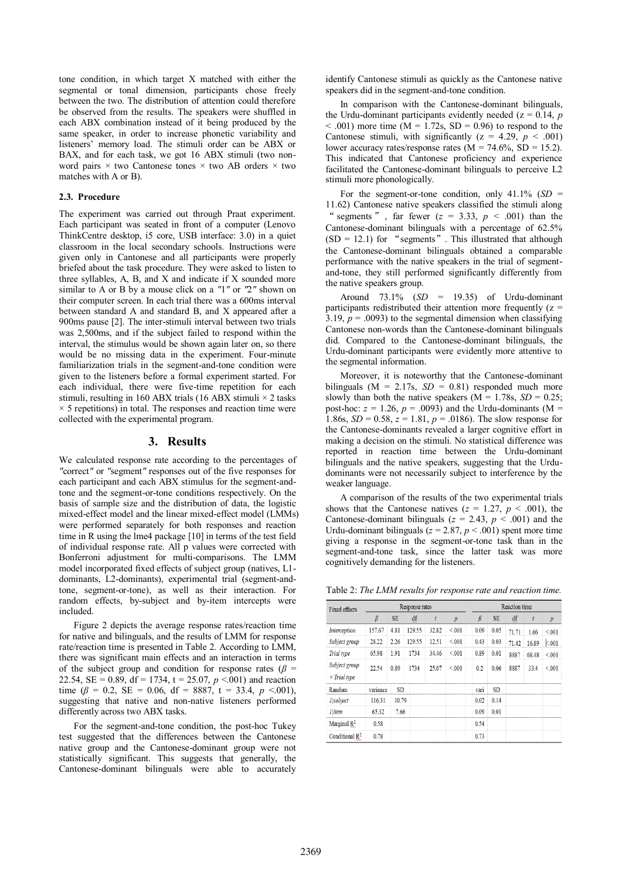tone condition, in which target X matched with either the segmental or tonal dimension, participants chose freely between the two. The distribution of attention could therefore be observed from the results. The speakers were shuffled in each ABX combination instead of it being produced by the same speaker, in order to increase phonetic variability and listeners' memory load. The stimuli order can be ABX or BAX, and for each task, we got 16 ABX stimuli (two nonword pairs × two Cantonese tones × two AB orders × two matches with A or B).

#### **2.3. Procedure**

The experiment was carried out through Praat experiment. Each participant was seated in front of a computer (Lenovo ThinkCentre desktop, i5 core, USB interface: 3.0) in a quiet classroom in the local secondary schools. Instructions were given only in Cantonese and all participants were properly briefed about the task procedure. They were asked to listen to three syllables, A, B, and X and indicate if X sounded more similar to A or B by a mouse click on a *"*1*"* or *"*2*"* shown on their computer screen. In each trial there was a 600ms interval between standard A and standard B, and X appeared after a 900ms pause [2]. The inter-stimuli interval between two trials was 2,500ms, and if the subject failed to respond within the interval, the stimulus would be shown again later on, so there would be no missing data in the experiment. Four-minute familiarization trials in the segment-and-tone condition were given to the listeners before a formal experiment started. For each individual, there were five-time repetition for each stimuli, resulting in 160 ABX trials (16 ABX stimuli  $\times$  2 tasks  $\times$  5 repetitions) in total. The responses and reaction time were collected with the experimental program.

#### **3. Results**

We calculated response rate according to the percentages of *"*correct*"* or *"*segment*"* responses out of the five responses for each participant and each ABX stimulus for the segment-andtone and the segment-or-tone conditions respectively. On the basis of sample size and the distribution of data, the logistic mixed-effect model and the linear mixed-effect model (LMMs) were performed separately for both responses and reaction time in R using the lme4 package [10] in terms of the test field of individual response rate. All p values were corrected with Bonferroni adjustment for multi-comparisons. The LMM model incorporated fixed effects of subject group (natives, L1 dominants, L2-dominants), experimental trial (segment-andtone, segment-or-tone), as well as their interaction. For random effects, by-subject and by-item intercepts were included.

Figure 2 depicts the average response rates/reaction time for native and bilinguals, and the results of LMM for response rate/reaction time is presented in Table 2. According to LMM, there was significant main effects and an interaction in terms of the subject group and condition for response rates ( $\beta$  = 22.54, SE = 0.89, df = 1734, t = 25.07,  $p < 0.01$ ) and reaction time ( $\beta$  = 0.2, SE = 0.06, df = 8887, t = 33.4, p <.001), suggesting that native and non-native listeners performed differently across two ABX tasks.

For the segment-and-tone condition, the post-hoc Tukey test suggested that the differences between the Cantonese native group and the Cantonese-dominant group were not statistically significant. This suggests that generally, the Cantonese-dominant bilinguals were able to accurately identify Cantonese stimuli as quickly as the Cantonese native speakers did in the segment-and-tone condition.

In comparison with the Cantonese-dominant bilinguals, the Urdu-dominant participants evidently needed ( $z = 0.14$ , *p*  $\leq$  .001) more time (M = 1.72s, SD = 0.96) to respond to the Cantonese stimuli, with significantly  $(z = 4.29, p < .001)$ lower accuracy rates/response rates ( $\overline{M}$  = 74.6%,  $\overline{SD}$  = 15.2). This indicated that Cantonese proficiency and experience facilitated the Cantonese-dominant bilinguals to perceive L2 stimuli more phonologically.

For the segment-or-tone condition, only  $41.1\%$  (*SD* = 11.62) Cantonese native speakers classified the stimuli along " segments", far fewer  $(z = 3.33, p < .001)$  than the Cantonese-dominant bilinguals with a percentage of 62.5%  $(SD = 12.1)$  for "segments". This illustrated that although the Cantonese-dominant bilinguals obtained a comparable performance with the native speakers in the trial of segmentand-tone, they still performed significantly differently from the native speakers group.

Around 73.1% (*SD* = 19.35) of Urdu-dominant participants redistributed their attention more frequently  $(z =$ 3.19,  $p = .0093$ ) to the segmental dimension when classifying Cantonese non-words than the Cantonese-dominant bilinguals did. Compared to the Cantonese-dominant bilinguals, the Urdu-dominant participants were evidently more attentive to the segmental information.

Moreover, it is noteworthy that the Cantonese-dominant bilinguals ( $M = 2.17$ s,  $SD = 0.81$ ) responded much more slowly than both the native speakers ( $M = 1.78$ s,  $SD = 0.25$ ; post-hoc:  $z = 1.26$ ,  $p = .0093$ ) and the Urdu-dominants (M = 1.86s,  $SD = 0.58$ ,  $z = 1.81$ ,  $p = .0186$ ). The slow response for the Cantonese-dominants revealed a larger cognitive effort in making a decision on the stimuli. No statistical difference was reported in reaction time between the Urdu-dominant bilinguals and the native speakers, suggesting that the Urdudominants were not necessarily subject to interference by the weaker language.

A comparison of the results of the two experimental trials shows that the Cantonese natives ( $z = 1.27$ ,  $p < .001$ ), the Cantonese-dominant bilinguals ( $z = 2.43$ ,  $p < .001$ ) and the Urdu-dominant bilinguals ( $z = 2.87$ ,  $p < .001$ ) spent more time giving a response in the segment-or-tone task than in the segment-and-tone task, since the latter task was more cognitively demanding for the listeners.

Table 2: *The LMM results for response rate and reaction time.* 

| <b>Fixed effects</b>                 | Response rates |           |        |       | <b>Reaction time</b> |         |           |       |       |                  |
|--------------------------------------|----------------|-----------|--------|-------|----------------------|---------|-----------|-------|-------|------------------|
|                                      | $\beta$        | <b>SE</b> | df     | t     | $\boldsymbol{p}$     | $\beta$ | <b>SE</b> | df    | t     | $\boldsymbol{p}$ |
| Interception                         | 157.67         | 4.81      | 129.55 | 32.82 | < 001                | 0.09    | 0.05      | 71.71 | 1.66  | < 001            |
| Subject group                        | 28.22          | 2.26      | 129.55 | 12.51 | < 001                | 0.43    | 0.03      | 71.42 | 16.89 | k.001            |
| Trial type                           | 65.98          | 1.91      | 1734   | 34.46 | < 001                | 0.89    | 0.01      | 8887  | 68.48 | < 001            |
| Subject group<br>$\times$ Trial type | 22.54          | 0.89      | 1734   | 25.07 | < 001                | 0.2     | 0.06      | 8887  | 33.4  | < 001            |
| Random                               | variance       | SD        |        |       |                      | vari    | <b>SD</b> |       |       |                  |
| 1 subject                            | 116.31         | 10.79     |        |       |                      | 0.02    | 0.14      |       |       |                  |
| <i>I</i> litem                       | 65.32          | 7.66      |        |       |                      | 0.09    | 0.01      |       |       |                  |
| Marginal $R^2$                       | 0.58           |           |        |       |                      | 0.54    |           |       |       |                  |
| Conditional $\mathbb{R}^2$           | 0.78           |           |        |       |                      | 0.73    |           |       |       |                  |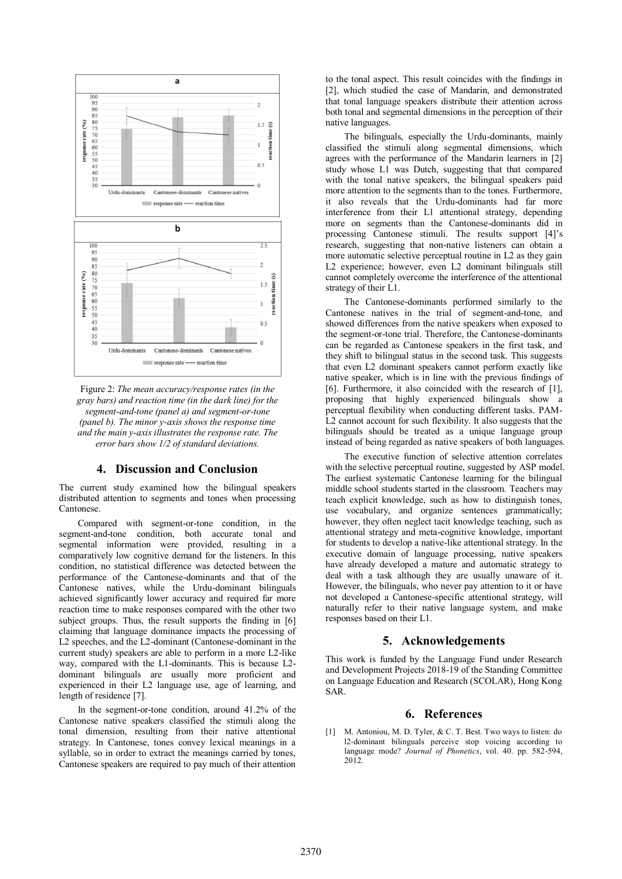

Figure 2: *The mean accuracy/response rates (in the gray bars) and reaction time (in the dark line) for the segment-and-tone (panel a) and segment-or-tone (panel b). The minor y-axis shows the response time and the main y-axis illustrates the response rate. The error bars show 1/2 of standard deviations.*

### **4. Discussion and Conclusion**

The current study examined how the bilingual speakers distributed attention to segments and tones when processing Cantonese.

Compared with segment-or-tone condition, in the segment-and-tone condition, both accurate tonal and segmental information were provided, resulting in a comparatively low cognitive demand for the listeners. In this condition, no statistical difference was detected between the performance of the Cantonese-dominants and that of the Cantonese natives, while the Urdu-dominant bilinguals achieved significantly lower accuracy and required far more reaction time to make responses compared with the other two subject groups. Thus, the result supports the finding in [6] claiming that language dominance impacts the processing of L2 speeches, and the L2-dominant (Cantonese-dominant in the current study) speakers are able to perform in a more L2-like way, compared with the L1-dominants. This is because L2 dominant bilinguals are usually more proficient and experienced in their L2 language use, age of learning, and length of residence [7].

In the segment-or-tone condition, around 41.2% of the Cantonese native speakers classified the stimuli along the tonal dimension, resulting from their native attentional strategy. In Cantonese, tones convey lexical meanings in a syllable, so in order to extract the meanings carried by tones, Cantonese speakers are required to pay much of their attention

to the tonal aspect. This result coincides with the findings in [2], which studied the case of Mandarin, and demonstrated that tonal language speakers distribute their attention across both tonal and segmental dimensions in the perception of their native languages.

The bilinguals, especially the Urdu-dominants, mainly classified the stimuli along segmental dimensions, which agrees with the performance of the Mandarin learners in [2] study whose L1 was Dutch, suggesting that that compared with the tonal native speakers, the bilingual speakers paid more attention to the segments than to the tones. Furthermore, it also reveals that the Urdu-dominants had far more interference from their L1 attentional strategy, depending more on segments than the Cantonese-dominants did in processing Cantonese stimuli. The results support [4]'s research, suggesting that non-native listeners can obtain a more automatic selective perceptual routine in L2 as they gain L2 experience; however, even L2 dominant bilinguals still cannot completely overcome the interference of the attentional strategy of their L1.

The Cantonese-dominants performed similarly to the Cantonese natives in the trial of segment-and-tone, and showed differences from the native speakers when exposed to the segment-or-tone trial. Therefore, the Cantonese-dominants can be regarded as Cantonese speakers in the first task, and they shift to bilingual status in the second task. This suggests that even L2 dominant speakers cannot perform exactly like native speaker, which is in line with the previous findings of [6]. Furthermore, it also coincided with the research of [1], proposing that highly experienced bilinguals show a perceptual flexibility when conducting different tasks. PAM-L2 cannot account for such flexibility. It also suggests that the bilinguals should be treated as a unique language group instead of being regarded as native speakers of both languages.

The executive function of selective attention correlates with the selective perceptual routine, suggested by ASP model. The earliest systematic Cantonese learning for the bilingual middle school students started in the classroom. Teachers may teach explicit knowledge, such as how to distinguish tones, use vocabulary, and organize sentences grammatically; however, they often neglect tacit knowledge teaching, such as attentional strategy and meta-cognitive knowledge, important for students to develop a native-like attentional strategy. In the executive domain of language processing, native speakers have already developed a mature and automatic strategy to deal with a task although they are usually unaware of it. However, the bilinguals, who never pay attention to it or have not developed a Cantonese-specific attentional strategy, will naturally refer to their native language system, and make responses based on their L1.

## **5. Acknowledgements**

This work is funded by the Language Fund under Research and Development Projects 2018-19 of the Standing Committee on Language Education and Research (SCOLAR), Hong Kong SAR.

## **6. References**

[1] M. Antoniou, M. D. Tyler, & C. T. Best. Two ways to listen: do l2-dominant bilinguals perceive stop voicing according to language mode? *Journal of Phonetics*, vol. 40. pp. 582-594, 2012.